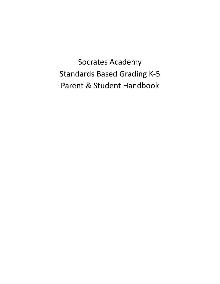Socrates Academy Standards Based Grading K-5 Parent & Student Handbook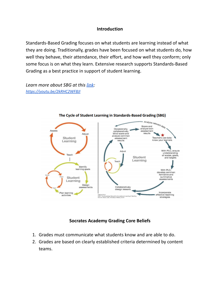### **Introduction**

Standards-Based Grading focuses on what students are learning instead of what they are doing. Traditionally, grades have been focused on what students do, how well they behave, their attendance, their effort, and how well they conform; only some focus is on what they learn. Extensive research supports Standards-Based Grading as a best practice in support of student learning.

*Learn more about SBG at this [link](https://youtu.be/2kRHC2WF8JI): <https://youtu.be/2kRHC2WF8JI>*



The Cycle of Student Learning in Standards-Based Grading (SBG)

### **Socrates Academy Grading Core Beliefs**

- 1. Grades must communicate what students know and are able to do.
- 2. Grades are based on clearly established criteria determined by content teams.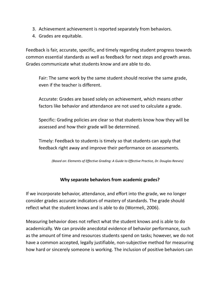- 3. Achievement achievement is reported separately from behaviors.
- 4. Grades are equitable.

Feedback is fair, accurate, specific, and timely regarding student progress towards common essential standards as well as feedback for next steps and growth areas. Grades communicate what students know and are able to do.

Fair: The same work by the same student should receive the same grade, even if the teacher is different.

Accurate: Grades are based solely on achievement, which means other factors like behavior and attendance are not used to calculate a grade.

Specific: Grading policies are clear so that students know how they will be assessed and how their grade will be determined.

Timely: Feedback to students is timely so that students can apply that feedback right away and improve their performance on assessments.

*(Based on: Elements of Effective Grading: A Guide to Effective Practice, Dr. Douglas Reeves)*

## **Why separate behaviors from academic grades?**

If we incorporate behavior, attendance, and effort into the grade, we no longer consider grades accurate indicators of mastery of standards. The grade should reflect what the student knows and is able to do (Wormeli, 2006).

Measuring behavior does not reflect what the student knows and is able to do academically. We can provide anecdotal evidence of behavior performance, such as the amount of time and resources students spend on tasks; however, we do not have a common accepted, legally justifiable, non-subjective method for measuring how hard or sincerely someone is working. The inclusion of positive behaviors can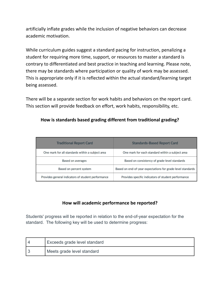artificially inflate grades while the inclusion of negative behaviors can decrease academic motivation.

While curriculum guides suggest a standard pacing for instruction, penalizing a student for requiring more time, support, or resources to master a standard is contrary to differentiated and best practice in teaching and learning. Please note, there may be standards where participation or quality of work may be assessed. This is appropriate only if it is reflected within the actual standard/learning target being assessed.

There will be a separate section for work habits and behaviors on the report card. This section will provide feedback on effort, work habits, responsibility, etc.

| <b>Traditional Report Card</b>                     | <b>Standards-Based Report Card</b>                          |  |
|----------------------------------------------------|-------------------------------------------------------------|--|
| One mark for all standards within a subject area   | One mark for each standard within a subject area            |  |
| Based on averages                                  | Based on consistency of grade-level standards               |  |
| Based on percent system                            | Based on end-of-year expectations for grade-level standards |  |
| Provides general indicators of student performance | Provides specific indicators of student performance         |  |

## **How is standards based grading different from traditional grading?**

# **How will academic performance be reported?**

Students' progress will be reported in relation to the end-of-year expectation for the standard. The following key will be used to determine progress:

| Exceeds grade level standard |
|------------------------------|
| Meets grade level standard   |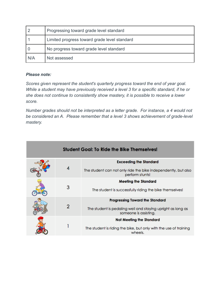|       | Progressing toward grade level standard      |
|-------|----------------------------------------------|
|       | Limited progress toward grade level standard |
|       | No progress toward grade level standard      |
| I N/A | Not assessed                                 |

### *Please note:*

*Scores given represent the student's quarterly progress toward the end of year goal. While a student may have previously received a level 3 for a specific standard, if he or she does not continue to consistently show mastery, it is possible to receive a lower score.*

*Number grades should not be interpreted as a letter grade. For instance, a 4 would not be considered an A. Please remember that a level 3 shows achievement of grade-level mastery.*

| <b>Student Goal: To Ride the Bike Themselves!</b> |   |                                                                                                                                |
|---------------------------------------------------|---|--------------------------------------------------------------------------------------------------------------------------------|
|                                                   | 4 | <b>Exceeding the Standard</b><br>The student can not only ride the bike independently, but also<br>perform stunts!             |
|                                                   | 3 | <b>Meeting the Standard</b><br>The student is successfully riding the bike themselves!                                         |
|                                                   | 2 | <b>Progressing Toward the Standard</b><br>The student is pedaling well and staying upright as long as<br>someone is assisting. |
|                                                   |   | <b>Not Meeting the Standard</b><br>The student is riding the bike, but only with the use of training<br>wheels.                |